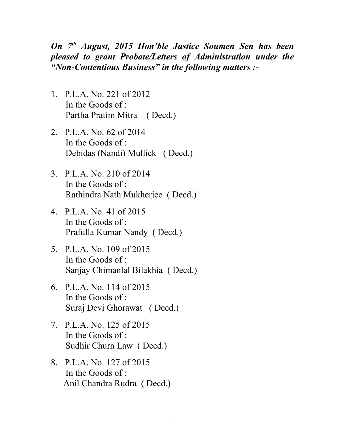*On 7th August, 2015 Hon'ble Justice Soumen Sen has been pleased to grant Probate/Letters of Administration under the "Non-Contentious Business" in the following matters :-*

- 1. P.L.A. No. 221 of 2012 In the Goods of : Partha Pratim Mitra ( Decd.)
- 2. P.L.A. No. 62 of 2014 In the Goods of : Debidas (Nandi) Mullick ( Decd.)
- 3. P.L.A. No. 210 of 2014 In the Goods of : Rathindra Nath Mukherjee ( Decd.)
- 4. P.L.A. No. 41 of 2015 In the Goods of : Prafulla Kumar Nandy ( Decd.)
- 5. P.L.A. No. 109 of 2015 In the Goods of : Sanjay Chimanlal Bilakhia ( Decd.)
- 6. P.L.A. No. 114 of 2015 In the Goods of : Suraj Devi Ghorawat ( Decd.)
- 7. P.L.A. No. 125 of 2015 In the Goods of : Sudhir Churn Law ( Decd.)
- 8. P.L.A. No. 127 of 2015 In the Goods of : Anil Chandra Rudra ( Decd.)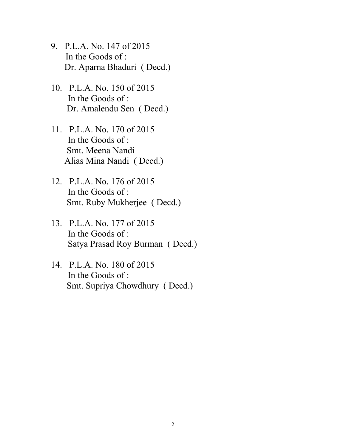- 9. P.L.A. No. 147 of 2015 In the Goods of : Dr. Aparna Bhaduri ( Decd.)
- 10. P.L.A. No. 150 of 2015 In the Goods of : Dr. Amalendu Sen ( Decd.)
- 11. P.L.A. No. 170 of 2015 In the Goods of : Smt. Meena Nandi Alias Mina Nandi ( Decd.)
- 12. P.L.A. No. 176 of 2015 In the Goods of : Smt. Ruby Mukherjee ( Decd.)
- 13. P.L.A. No. 177 of 2015 In the Goods of : Satya Prasad Roy Burman ( Decd.)
- 14. P.L.A. No. 180 of 2015 In the Goods of : Smt. Supriya Chowdhury ( Decd.)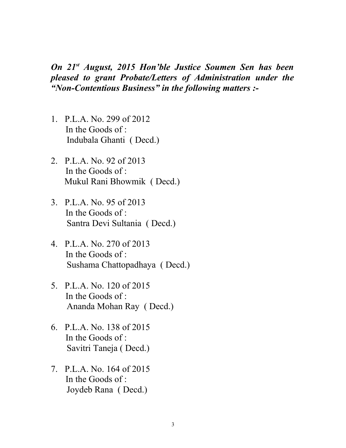*On 21st August, 2015 Hon'ble Justice Soumen Sen has been pleased to grant Probate/Letters of Administration under the "Non-Contentious Business" in the following matters :-*

- 1. P.L.A. No. 299 of 2012 In the Goods of : Indubala Ghanti ( Decd.)
- 2. P.L.A. No. 92 of 2013 In the Goods of : Mukul Rani Bhowmik ( Decd.)
- 3. P.L.A. No. 95 of 2013 In the Goods of : Santra Devi Sultania ( Decd.)
- 4. P.L.A. No. 270 of 2013 In the Goods of : Sushama Chattopadhaya ( Decd.)
- 5. P.L.A. No. 120 of 2015 In the Goods of : Ananda Mohan Ray ( Decd.)
- 6. P.L.A. No. 138 of 2015 In the Goods of : Savitri Taneja ( Decd.)
- 7. P.L.A. No. 164 of 2015 In the Goods of : Joydeb Rana ( Decd.)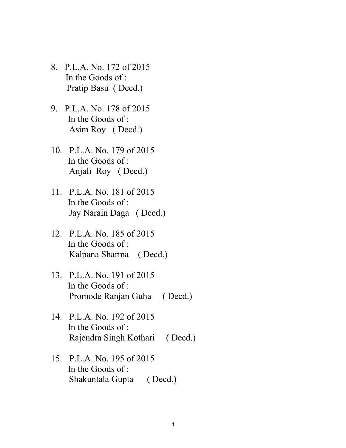- 8. P.L.A. No. 172 of 2015 In the Goods of : Pratip Basu ( Decd.)
- 9. P.L.A. No. 178 of 2015 In the Goods of : Asim Roy ( Decd.)
- 10. P.L.A. No. 179 of 2015 In the Goods of : Anjali Roy ( Decd.)
- 11. P.L.A. No. 181 of 2015 In the Goods of : Jay Narain Daga ( Decd.)
- 12. P.L.A. No. 185 of 2015 In the Goods of : Kalpana Sharma ( Decd.)
- 13. P.L.A. No. 191 of 2015 In the Goods of : Promode Ranjan Guha ( Decd.)
- 14. P.L.A. No. 192 of 2015 In the Goods of : Rajendra Singh Kothari ( Decd.)
- 15. P.L.A. No. 195 of 2015 In the Goods of : Shakuntala Gupta ( Decd.)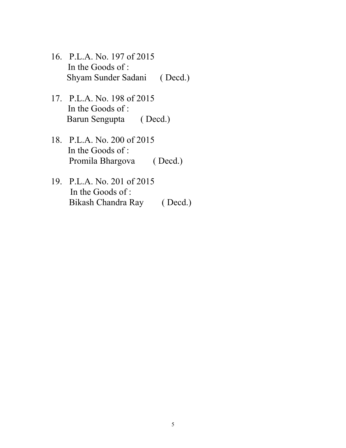- 16. P.L.A. No. 197 of 2015 In the Goods of : Shyam Sunder Sadani ( Decd.)
- 17. P.L.A. No. 198 of 2015 In the Goods of : Barun Sengupta ( Decd.)
- 18. P.L.A. No. 200 of 2015 In the Goods of : Promila Bhargova (Decd.)
- 19. P.L.A. No. 201 of 2015 In the Goods of : Bikash Chandra Ray ( Decd.)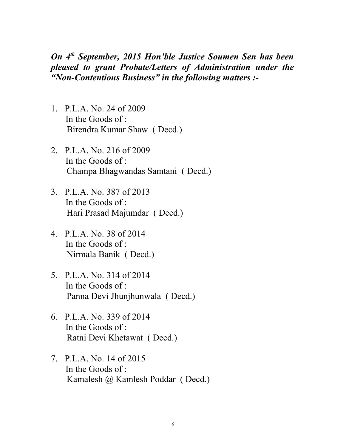*On 4th September, 2015 Hon'ble Justice Soumen Sen has been pleased to grant Probate/Letters of Administration under the "Non-Contentious Business" in the following matters :-*

- 1. P.L.A. No. 24 of 2009 In the Goods of : Birendra Kumar Shaw ( Decd.)
- 2. P.L.A. No. 216 of 2009 In the Goods of : Champa Bhagwandas Samtani ( Decd.)
- 3. P.L.A. No. 387 of 2013 In the Goods of : Hari Prasad Majumdar ( Decd.)
- 4. P.L.A. No. 38 of 2014 In the Goods of : Nirmala Banik ( Decd.)
- 5. P.L.A. No. 314 of 2014 In the Goods of : Panna Devi Jhunjhunwala ( Decd.)
- 6. P.L.A. No. 339 of 2014 In the Goods of : Ratni Devi Khetawat ( Decd.)
- 7. P.L.A. No. 14 of 2015 In the Goods of : Kamalesh @ Kamlesh Poddar ( Decd.)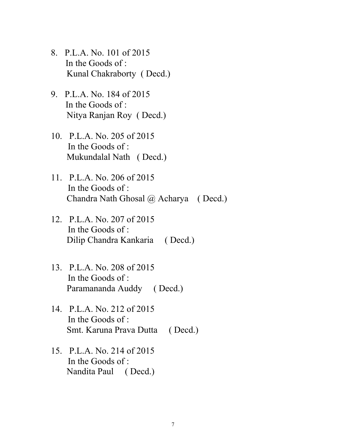- 8. P.L.A. No. 101 of 2015 In the Goods of : Kunal Chakraborty ( Decd.)
- 9. P.L.A. No. 184 of 2015 In the Goods of : Nitya Ranjan Roy ( Decd.)
- 10. P.L.A. No. 205 of 2015 In the Goods of : Mukundalal Nath ( Decd.)
- 11. P.L.A. No. 206 of 2015 In the Goods of : Chandra Nath Ghosal @ Acharya ( Decd.)
- 12. P.L.A. No. 207 of 2015 In the Goods of : Dilip Chandra Kankaria ( Decd.)
- 13. P.L.A. No. 208 of 2015 In the Goods of : Paramananda Auddy ( Decd.)
- 14. P.L.A. No. 212 of 2015 In the Goods of : Smt. Karuna Prava Dutta ( Decd.)
- 15. P.L.A. No. 214 of 2015 In the Goods of : Nandita Paul ( Decd.)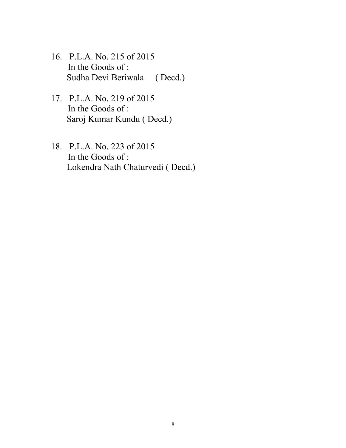- 16. P.L.A. No. 215 of 2015 In the Goods of : Sudha Devi Beriwala ( Decd.)
- 17. P.L.A. No. 219 of 2015 In the Goods of : Saroj Kumar Kundu ( Decd.)
- 18. P.L.A. No. 223 of 2015 In the Goods of : Lokendra Nath Chaturvedi ( Decd.)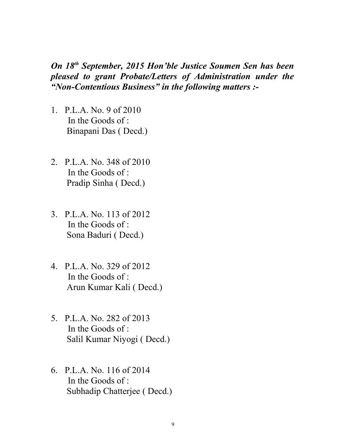*On 18th September, 2015 Hon'ble Justice Soumen Sen has been pleased to grant Probate/Letters of Administration under the "Non-Contentious Business" in the following matters :-*

- 1. P.L.A. No. 9 of 2010 In the Goods of : Binapani Das ( Decd.)
- 2. P.L.A. No. 348 of 2010 In the Goods of : Pradip Sinha ( Decd.)
- 3. P.L.A. No. 113 of 2012 In the Goods of : Sona Baduri ( Decd.)
- 4. P.L.A. No. 329 of 2012 In the Goods of : Arun Kumar Kali ( Decd.)
- 5. P.L.A. No. 282 of 2013 In the Goods of : Salil Kumar Niyogi ( Decd.)
- 6. P.L.A. No. 116 of 2014 In the Goods of  $\cdot$ Subhadip Chatterjee ( Decd.)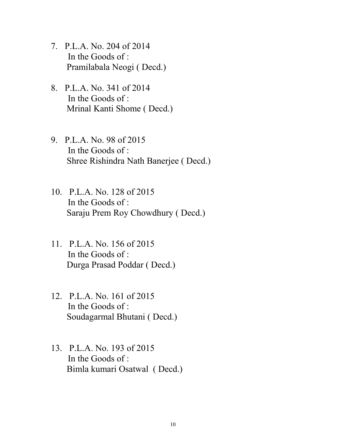- 7. P.L.A. No. 204 of 2014 In the Goods of : Pramilabala Neogi ( Decd.)
- 8. P.L.A. No. 341 of 2014 In the Goods of : Mrinal Kanti Shome ( Decd.)
- 9. P.L.A. No. 98 of 2015 In the Goods of : Shree Rishindra Nath Banerjee ( Decd.)
- 10. P.L.A. No. 128 of 2015 In the Goods of : Saraju Prem Roy Chowdhury ( Decd.)
- 11. P.L.A. No. 156 of 2015 In the Goods of : Durga Prasad Poddar ( Decd.)
- 12. P.L.A. No. 161 of 2015 In the Goods of : Soudagarmal Bhutani ( Decd.)
- 13. P.L.A. No. 193 of 2015 In the Goods of : Bimla kumari Osatwal ( Decd.)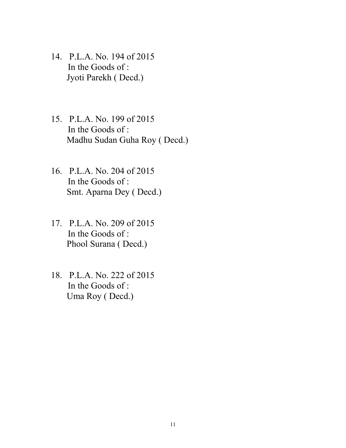- 14. P.L.A. No. 194 of 2015 In the Goods of : Jyoti Parekh ( Decd.)
- 15. P.L.A. No. 199 of 2015 In the Goods of : Madhu Sudan Guha Roy ( Decd.)
- 16. P.L.A. No. 204 of 2015 In the Goods of : Smt. Aparna Dey ( Decd.)
- 17. P.L.A. No. 209 of 2015 In the Goods of : Phool Surana ( Decd.)
- 18. P.L.A. No. 222 of 2015 In the Goods of : Uma Roy ( Decd.)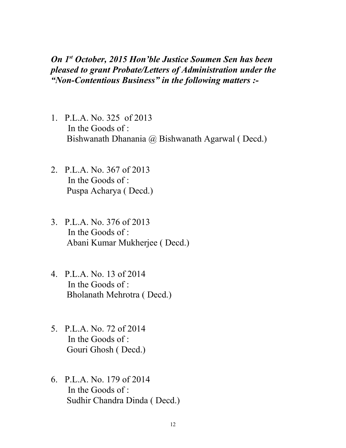*On 1st October, 2015 Hon'ble Justice Soumen Sen has been pleased to grant Probate/Letters of Administration under the "Non-Contentious Business" in the following matters :-*

- 1. P.L.A. No. 325 of 2013 In the Goods of  $\cdot$ Bishwanath Dhanania @ Bishwanath Agarwal ( Decd.)
- 2. P.L.A. No. 367 of 2013 In the Goods of : Puspa Acharya ( Decd.)
- 3. P.L.A. No. 376 of 2013 In the Goods of : Abani Kumar Mukherjee ( Decd.)
- 4. P.L.A. No. 13 of 2014 In the Goods of : Bholanath Mehrotra ( Decd.)
- 5. P.L.A. No. 72 of 2014 In the Goods of : Gouri Ghosh ( Decd.)
- 6. P.L.A. No. 179 of 2014 In the Goods of : Sudhir Chandra Dinda ( Decd.)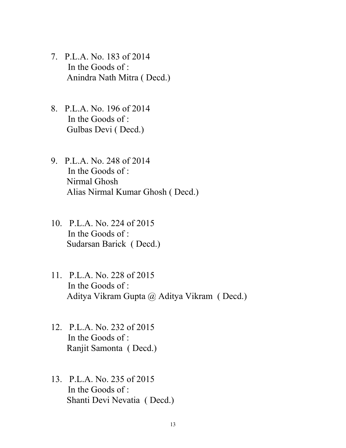- 7. P.L.A. No. 183 of 2014 In the Goods of : Anindra Nath Mitra ( Decd.)
- 8. P.L.A. No. 196 of 2014 In the Goods of : Gulbas Devi ( Decd.)
- 9. P.L.A. No. 248 of 2014 In the Goods of : Nirmal Ghosh Alias Nirmal Kumar Ghosh ( Decd.)
- 10. P.L.A. No. 224 of 2015 In the Goods of : Sudarsan Barick ( Decd.)
- 11. P.L.A. No. 228 of 2015 In the Goods of : Aditya Vikram Gupta @ Aditya Vikram ( Decd.)
- 12. P.L.A. No. 232 of 2015 In the Goods of : Ranjit Samonta ( Decd.)
- 13. P.L.A. No. 235 of 2015 In the Goods of : Shanti Devi Nevatia ( Decd.)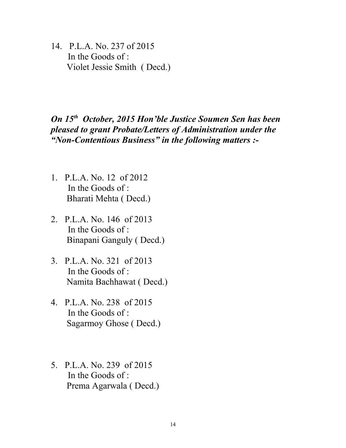14. P.L.A. No. 237 of 2015 In the Goods of : Violet Jessie Smith ( Decd.)

## *On 15th October, 2015 Hon'ble Justice Soumen Sen has been pleased to grant Probate/Letters of Administration under the "Non-Contentious Business" in the following matters :-*

- 1. P.L.A. No. 12 of 2012 In the Goods of  $\cdot$ Bharati Mehta ( Decd.)
- 2. P.L.A. No. 146 of 2013 In the Goods of : Binapani Ganguly ( Decd.)
- 3. P.L.A. No. 321 of 2013 In the Goods of : Namita Bachhawat ( Decd.)
- 4. P.L.A. No. 238 of 2015 In the Goods of : Sagarmoy Ghose ( Decd.)
- 5. P.L.A. No. 239 of 2015 In the Goods of : Prema Agarwala ( Decd.)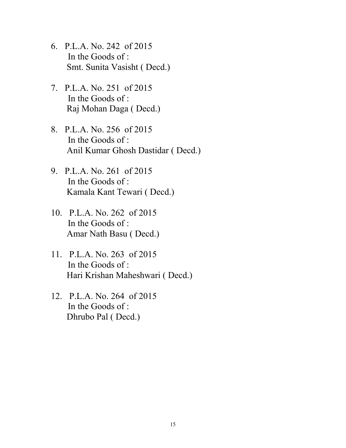- 6. P.L.A. No. 242 of 2015 In the Goods of : Smt. Sunita Vasisht ( Decd.)
- 7. P.L.A. No. 251 of 2015 In the Goods of : Raj Mohan Daga ( Decd.)
- 8. P.L.A. No. 256 of 2015 In the Goods of : Anil Kumar Ghosh Dastidar ( Decd.)
- 9. P.L.A. No. 261 of 2015 In the Goods of : Kamala Kant Tewari ( Decd.)
- 10. P.L.A. No. 262 of 2015 In the Goods of : Amar Nath Basu ( Decd.)
- 11. P.L.A. No. 263 of 2015 In the Goods of : Hari Krishan Maheshwari ( Decd.)
- 12. P.L.A. No. 264 of 2015 In the Goods of : Dhrubo Pal ( Decd.)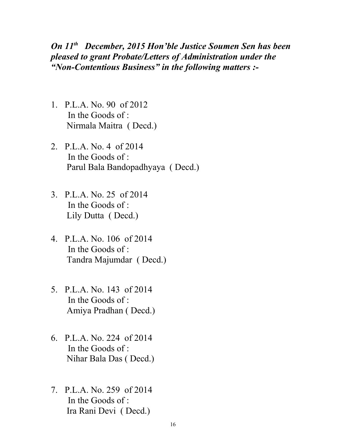*On 11th December, 2015 Hon'ble Justice Soumen Sen has been pleased to grant Probate/Letters of Administration under the "Non-Contentious Business" in the following matters :-*

- 1. P.L.A. No. 90 of 2012 In the Goods of : Nirmala Maitra ( Decd.)
- 2. P.L.A. No. 4 of 2014 In the Goods of : Parul Bala Bandopadhyaya ( Decd.)
- 3. P.L.A. No. 25 of 2014 In the Goods of : Lily Dutta ( Decd.)
- 4. P.L.A. No. 106 of 2014 In the Goods of : Tandra Majumdar ( Decd.)
- 5. P.L.A. No. 143 of 2014 In the Goods of  $\cdot$ Amiya Pradhan ( Decd.)
- 6. P.L.A. No. 224 of 2014 In the Goods of : Nihar Bala Das ( Decd.)
- 7. P.L.A. No. 259 of 2014 In the Goods of : Ira Rani Devi ( Decd.)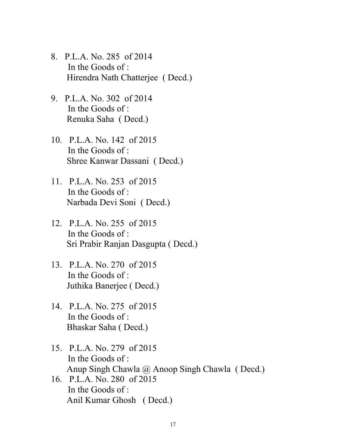- 8. P.L.A. No. 285 of 2014 In the Goods of : Hirendra Nath Chatterjee ( Decd.)
- 9. P.L.A. No. 302 of 2014 In the Goods of : Renuka Saha ( Decd.)
- 10. P.L.A. No. 142 of 2015 In the Goods of : Shree Kanwar Dassani ( Decd.)
- 11. P.L.A. No. 253 of 2015 In the Goods of : Narbada Devi Soni ( Decd.)
- 12. P.L.A. No. 255 of 2015 In the Goods of : Sri Prabir Ranjan Dasgupta ( Decd.)
- 13. P.L.A. No. 270 of 2015 In the Goods of : Juthika Banerjee ( Decd.)
- 14. P.L.A. No. 275 of 2015 In the Goods of : Bhaskar Saha ( Decd.)
- 15. P.L.A. No. 279 of 2015 In the Goods of : Anup Singh Chawla @ Anoop Singh Chawla ( Decd.)
- 16. P.L.A. No. 280 of 2015 In the Goods of : Anil Kumar Ghosh ( Decd.)